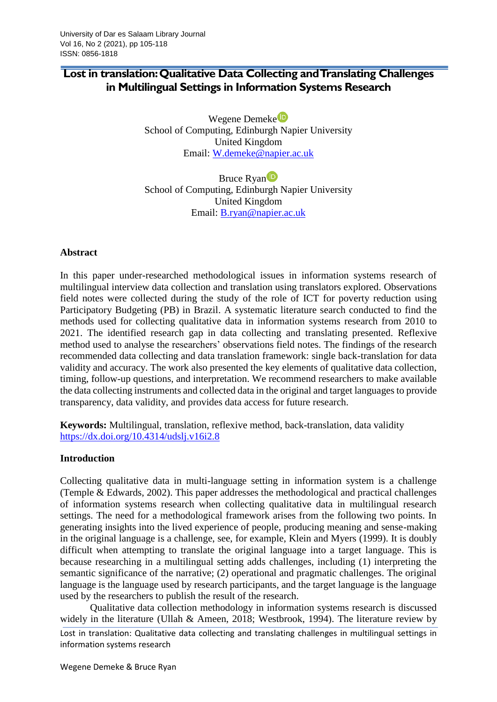# **Lost in translation: Qualitative Data Collecting and Translating Challenges in Multilingual Settings in Information Systems Research**

Wegene Demeke<sup>t</sup> School of Computing, Edinburgh Napier University United Kingdom Email: [W.demeke@napier.ac.uk](mailto:W.demeke@napier.ac.uk)

Bruce Rya[n](https://orcid.org/0000-0001-5499-2971)<sup>D</sup> School of Computing, Edinburgh Napier University United Kingdom Email: [B.ryan@napier.ac.uk](mailto:B.ryan@napier.ac.uk)

#### **Abstract**

In this paper under-researched methodological issues in information systems research of multilingual interview data collection and translation using translators explored. Observations field notes were collected during the study of the role of ICT for poverty reduction using Participatory Budgeting (PB) in Brazil. A systematic literature search conducted to find the methods used for collecting qualitative data in information systems research from 2010 to 2021. The identified research gap in data collecting and translating presented. Reflexive method used to analyse the researchers' observations field notes. The findings of the research recommended data collecting and data translation framework: single back-translation for data validity and accuracy. The work also presented the key elements of qualitative data collection, timing, follow-up questions, and interpretation. We recommend researchers to make available the data collecting instruments and collected data in the original and target languages to provide transparency, data validity, and provides data access for future research.

**Keywords:** Multilingual, translation, reflexive method, back-translation, data validity <https://dx.doi.org/10.4314/udslj.v16i2.8>

#### **Introduction**

Collecting qualitative data in multi-language setting in information system is a challenge (Temple & Edwards, 2002). This paper addresses the methodological and practical challenges of information systems research when collecting qualitative data in multilingual research settings. The need for a methodological framework arises from the following two points. In generating insights into the lived experience of people, producing meaning and sense-making in the original language is a challenge, see, for example, Klein and Myers (1999). It is doubly difficult when attempting to translate the original language into a target language. This is because researching in a multilingual setting adds challenges, including (1) interpreting the semantic significance of the narrative; (2) operational and pragmatic challenges. The original language is the language used by research participants, and the target language is the language used by the researchers to publish the result of the research.

Lost in translation: Qualitative data collecting and translating challenges in multilingual settings in information systems research Qualitative data collection methodology in information systems research is discussed widely in the literature (Ullah & Ameen, 2018; Westbrook, 1994). The literature review by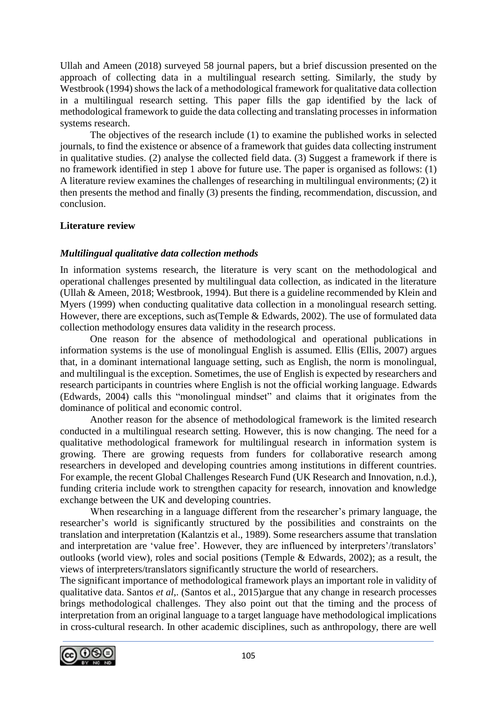Ullah and Ameen (2018) surveyed 58 journal papers, but a brief discussion presented on the approach of collecting data in a multilingual research setting. Similarly, the study by Westbrook (1994) shows the lack of a methodological framework for qualitative data collection in a multilingual research setting. This paper fills the gap identified by the lack of methodological framework to guide the data collecting and translating processes in information systems research.

The objectives of the research include (1) to examine the published works in selected journals, to find the existence or absence of a framework that guides data collecting instrument in qualitative studies. (2) analyse the collected field data. (3) Suggest a framework if there is no framework identified in step 1 above for future use. The paper is organised as follows: (1) A literature review examines the challenges of researching in multilingual environments; (2) it then presents the method and finally (3) presents the finding, recommendation, discussion, and conclusion.

### **Literature review**

#### *Multilingual qualitative data collection methods*

In information systems research, the literature is very scant on the methodological and operational challenges presented by multilingual data collection, as indicated in the literature (Ullah & Ameen, 2018; Westbrook, 1994). But there is a guideline recommended by Klein and Myers (1999) when conducting qualitative data collection in a monolingual research setting. However, there are exceptions, such as(Temple & Edwards, 2002). The use of formulated data collection methodology ensures data validity in the research process.

One reason for the absence of methodological and operational publications in information systems is the use of monolingual English is assumed. Ellis (Ellis, 2007) argues that, in a dominant international language setting, such as English, the norm is monolingual, and multilingual is the exception. Sometimes, the use of English is expected by researchers and research participants in countries where English is not the official working language. Edwards (Edwards, 2004) calls this "monolingual mindset" and claims that it originates from the dominance of political and economic control.

Another reason for the absence of methodological framework is the limited research conducted in a multilingual research setting. However, this is now changing. The need for a qualitative methodological framework for multilingual research in information system is growing. There are growing requests from funders for collaborative research among researchers in developed and developing countries among institutions in different countries. For example, the recent Global Challenges Research Fund (UK Research and Innovation, n.d.), funding criteria include work to strengthen capacity for research, innovation and knowledge exchange between the UK and developing countries.

When researching in a language different from the researcher's primary language, the researcher's world is significantly structured by the possibilities and constraints on the translation and interpretation (Kalantzis et al., 1989). Some researchers assume that translation and interpretation are 'value free'. However, they are influenced by interpreters'/translators' outlooks (world view), roles and social positions (Temple & Edwards, 2002); as a result, the views of interpreters/translators significantly structure the world of researchers.

The significant importance of methodological framework plays an important role in validity of qualitative data. Santos *et al*,. (Santos et al., 2015)argue that any change in research processes brings methodological challenges. They also point out that the timing and the process of interpretation from an original language to a target language have methodological implications in cross-cultural research. In other academic disciplines, such as anthropology, there are well

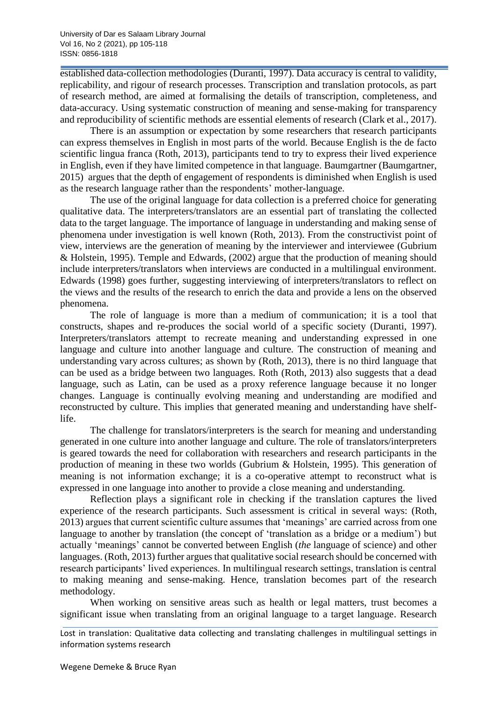established data-collection methodologies (Duranti, 1997). Data accuracy is central to validity, replicability, and rigour of research processes. Transcription and translation protocols, as part of research method, are aimed at formalising the details of transcription, completeness, and data-accuracy. Using systematic construction of meaning and sense-making for transparency and reproducibility of scientific methods are essential elements of research (Clark et al., 2017).

There is an assumption or expectation by some researchers that research participants can express themselves in English in most parts of the world. Because English is the de facto scientific lingua franca (Roth, 2013), participants tend to try to express their lived experience in English, even if they have limited competence in that language. Baumgartner (Baumgartner, 2015) argues that the depth of engagement of respondents is diminished when English is used as the research language rather than the respondents' mother-language.

The use of the original language for data collection is a preferred choice for generating qualitative data. The interpreters/translators are an essential part of translating the collected data to the target language. The importance of language in understanding and making sense of phenomena under investigation is well known (Roth, 2013). From the constructivist point of view, interviews are the generation of meaning by the interviewer and interviewee (Gubrium & Holstein, 1995). Temple and Edwards, (2002) argue that the production of meaning should include interpreters/translators when interviews are conducted in a multilingual environment. Edwards (1998) goes further, suggesting interviewing of interpreters/translators to reflect on the views and the results of the research to enrich the data and provide a lens on the observed phenomena.

The role of language is more than a medium of communication; it is a tool that constructs, shapes and re-produces the social world of a specific society (Duranti, 1997). Interpreters/translators attempt to recreate meaning and understanding expressed in one language and culture into another language and culture. The construction of meaning and understanding vary across cultures; as shown by (Roth, 2013), there is no third language that can be used as a bridge between two languages. Roth (Roth, 2013) also suggests that a dead language, such as Latin, can be used as a proxy reference language because it no longer changes. Language is continually evolving meaning and understanding are modified and reconstructed by culture. This implies that generated meaning and understanding have shelflife.

The challenge for translators/interpreters is the search for meaning and understanding generated in one culture into another language and culture. The role of translators/interpreters is geared towards the need for collaboration with researchers and research participants in the production of meaning in these two worlds (Gubrium & Holstein, 1995). This generation of meaning is not information exchange; it is a co-operative attempt to reconstruct what is expressed in one language into another to provide a close meaning and understanding.

Reflection plays a significant role in checking if the translation captures the lived experience of the research participants. Such assessment is critical in several ways: (Roth, 2013) argues that current scientific culture assumes that 'meanings' are carried across from one language to another by translation (the concept of 'translation as a bridge or a medium') but actually 'meanings' cannot be converted between English (*the* language of science) and other languages. (Roth, 2013) further argues that qualitative social research should be concerned with research participants' lived experiences. In multilingual research settings, translation is central to making meaning and sense-making. Hence, translation becomes part of the research methodology.

When working on sensitive areas such as health or legal matters, trust becomes a significant issue when translating from an original language to a target language. Research

Lost in translation: Qualitative data collecting and translating challenges in multilingual settings in information systems research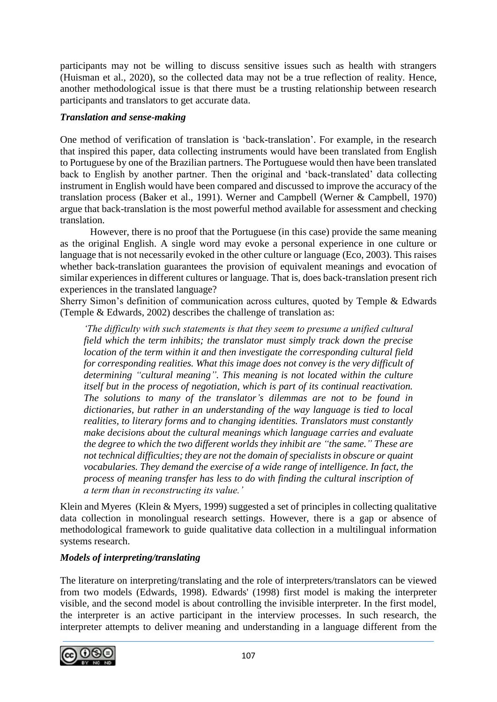participants may not be willing to discuss sensitive issues such as health with strangers (Huisman et al., 2020), so the collected data may not be a true reflection of reality. Hence, another methodological issue is that there must be a trusting relationship between research participants and translators to get accurate data.

#### *Translation and sense-making*

One method of verification of translation is 'back-translation'. For example, in the research that inspired this paper, data collecting instruments would have been translated from English to Portuguese by one of the Brazilian partners. The Portuguese would then have been translated back to English by another partner. Then the original and 'back-translated' data collecting instrument in English would have been compared and discussed to improve the accuracy of the translation process (Baker et al., 1991). Werner and Campbell (Werner & Campbell, 1970) argue that back-translation is the most powerful method available for assessment and checking translation.

However, there is no proof that the Portuguese (in this case) provide the same meaning as the original English. A single word may evoke a personal experience in one culture or language that is not necessarily evoked in the other culture or language (Eco, 2003). This raises whether back-translation guarantees the provision of equivalent meanings and evocation of similar experiences in different cultures or language. That is, does back-translation present rich experiences in the translated language?

Sherry Simon's definition of communication across cultures, quoted by Temple & Edwards (Temple & Edwards, 2002) describes the challenge of translation as:

*'The difficulty with such statements is that they seem to presume a unified cultural field which the term inhibits; the translator must simply track down the precise location of the term within it and then investigate the corresponding cultural field for corresponding realities. What this image does not convey is the very difficult of determining "cultural meaning". This meaning is not located within the culture itself but in the process of negotiation, which is part of its continual reactivation. The solutions to many of the translator's dilemmas are not to be found in dictionaries, but rather in an understanding of the way language is tied to local realities, to literary forms and to changing identities. Translators must constantly make decisions about the cultural meanings which language carries and evaluate the degree to which the two different worlds they inhibit are "the same." These are not technical difficulties; they are not the domain of specialists in obscure or quaint vocabularies. They demand the exercise of a wide range of intelligence. In fact, the process of meaning transfer has less to do with finding the cultural inscription of a term than in reconstructing its value.'*

Klein and Myeres (Klein & Myers, 1999) suggested a set of principles in collecting qualitative data collection in monolingual research settings. However, there is a gap or absence of methodological framework to guide qualitative data collection in a multilingual information systems research.

### *Models of interpreting/translating*

The literature on interpreting/translating and the role of interpreters/translators can be viewed from two models (Edwards, 1998). Edwards' (1998) first model is making the interpreter visible, and the second model is about controlling the invisible interpreter. In the first model, the interpreter is an active participant in the interview processes. In such research, the interpreter attempts to deliver meaning and understanding in a language different from the

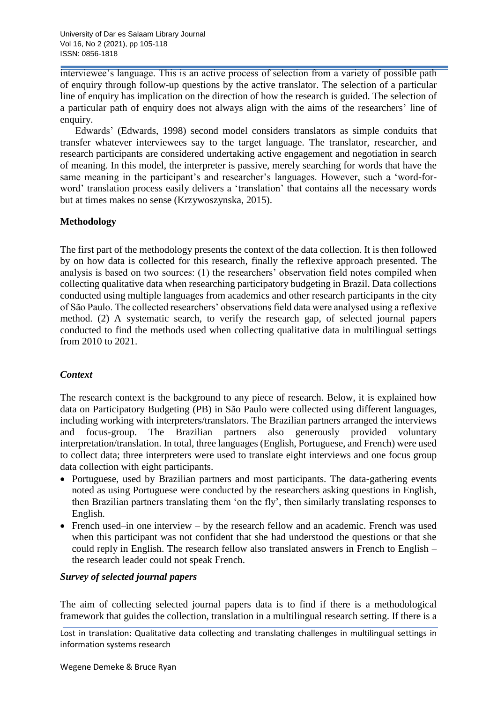interviewee's language. This is an active process of selection from a variety of possible path of enquiry through follow-up questions by the active translator. The selection of a particular line of enquiry has implication on the direction of how the research is guided. The selection of a particular path of enquiry does not always align with the aims of the researchers' line of enquiry.

Edwards' (Edwards, 1998) second model considers translators as simple conduits that transfer whatever interviewees say to the target language. The translator, researcher, and research participants are considered undertaking active engagement and negotiation in search of meaning. In this model, the interpreter is passive, merely searching for words that have the same meaning in the participant's and researcher's languages. However, such a 'word-forword' translation process easily delivers a 'translation' that contains all the necessary words but at times makes no sense (Krzywoszynska, 2015).

#### **Methodology**

The first part of the methodology presents the context of the data collection. It is then followed by on how data is collected for this research, finally the reflexive approach presented. The analysis is based on two sources: (1) the researchers' observation field notes compiled when collecting qualitative data when researching participatory budgeting in Brazil. Data collections conducted using multiple languages from academics and other research participants in the city of São Paulo. The collected researchers' observations field data were analysed using a reflexive method. (2) A systematic search, to verify the research gap, of selected journal papers conducted to find the methods used when collecting qualitative data in multilingual settings from 2010 to 2021.

### *Context*

The research context is the background to any piece of research. Below, it is explained how data on Participatory Budgeting (PB) in São Paulo were collected using different languages, including working with interpreters/translators. The Brazilian partners arranged the interviews and focus-group. The Brazilian partners also generously provided voluntary interpretation/translation. In total, three languages (English, Portuguese, and French) were used to collect data; three interpreters were used to translate eight interviews and one focus group data collection with eight participants.

- Portuguese, used by Brazilian partners and most participants. The data-gathering events noted as using Portuguese were conducted by the researchers asking questions in English, then Brazilian partners translating them 'on the fly', then similarly translating responses to English.
- French used–in one interview by the research fellow and an academic. French was used when this participant was not confident that she had understood the questions or that she could reply in English. The research fellow also translated answers in French to English – the research leader could not speak French.

#### *Survey of selected journal papers*

The aim of collecting selected journal papers data is to find if there is a methodological framework that guides the collection, translation in a multilingual research setting. If there is a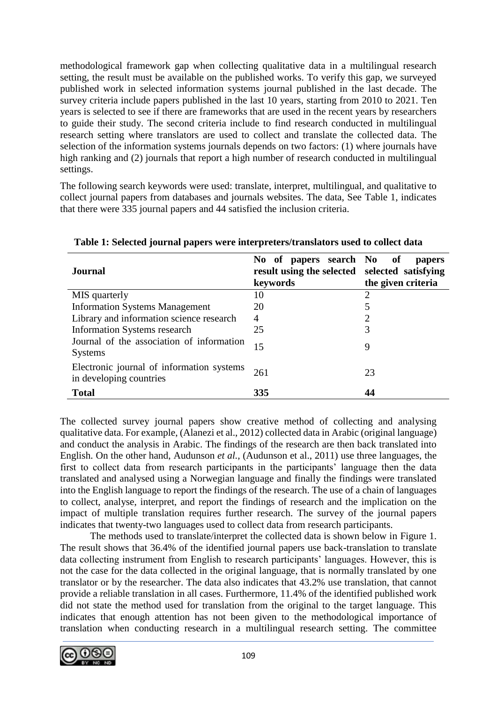methodological framework gap when collecting qualitative data in a multilingual research setting, the result must be available on the published works. To verify this gap, we surveyed published work in selected information systems journal published in the last decade. The survey criteria include papers published in the last 10 years, starting from 2010 to 2021. Ten years is selected to see if there are frameworks that are used in the recent years by researchers to guide their study. The second criteria include to find research conducted in multilingual research setting where translators are used to collect and translate the collected data. The selection of the information systems journals depends on two factors: (1) where journals have high ranking and (2) journals that report a high number of research conducted in multilingual settings.

The following search keywords were used: translate, interpret, multilingual, and qualitative to collect journal papers from databases and journals websites. The data, See Table 1, indicates that there were 335 journal papers and 44 satisfied the inclusion criteria.

| Journal                                                              | No of papers search No of<br>result using the selected selected satisfying<br>keywords | papers<br>the given criteria |
|----------------------------------------------------------------------|----------------------------------------------------------------------------------------|------------------------------|
| MIS quarterly                                                        | 10                                                                                     | $\overline{2}$               |
| <b>Information Systems Management</b>                                | 20                                                                                     | 5                            |
| Library and information science research                             | 4                                                                                      | $\overline{2}$               |
| <b>Information Systems research</b>                                  | 25                                                                                     | 3                            |
| Journal of the association of information<br><b>Systems</b>          | 15                                                                                     | 9                            |
| Electronic journal of information systems<br>in developing countries | 261                                                                                    | 23                           |
| <b>Total</b>                                                         | 335                                                                                    |                              |

**Table 1: Selected journal papers were interpreters/translators used to collect data**

The collected survey journal papers show creative method of collecting and analysing qualitative data. For example, (Alanezi et al., 2012) collected data in Arabic (original language) and conduct the analysis in Arabic. The findings of the research are then back translated into English. On the other hand, Audunson *et al.,* (Audunson et al., 2011) use three languages, the first to collect data from research participants in the participants' language then the data translated and analysed using a Norwegian language and finally the findings were translated into the English language to report the findings of the research. The use of a chain of languages to collect, analyse, interpret, and report the findings of research and the implication on the impact of multiple translation requires further research. The survey of the journal papers indicates that twenty-two languages used to collect data from research participants.

The methods used to translate/interpret the collected data is shown below in Figure 1. The result shows that 36.4% of the identified journal papers use back-translation to translate data collecting instrument from English to research participants' languages. However, this is not the case for the data collected in the original language, that is normally translated by one translator or by the researcher. The data also indicates that 43.2% use translation, that cannot provide a reliable translation in all cases. Furthermore, 11.4% of the identified published work did not state the method used for translation from the original to the target language. This indicates that enough attention has not been given to the methodological importance of translation when conducting research in a multilingual research setting. The committee

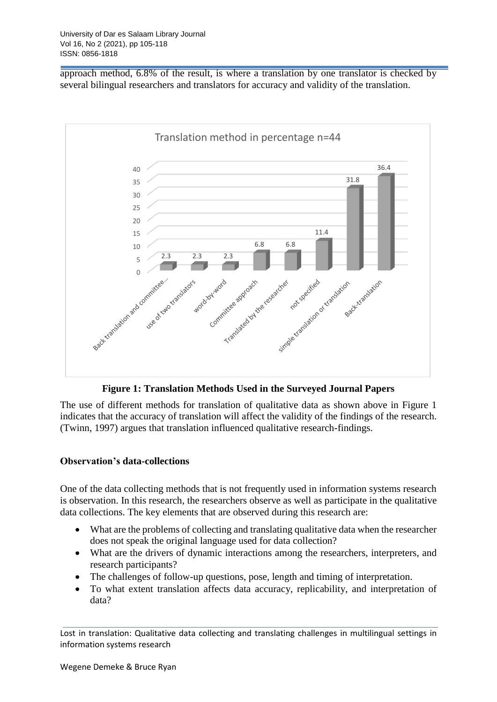approach method, 6.8% of the result, is where a translation by one translator is checked by several bilingual researchers and translators for accuracy and validity of the translation.



**Figure 1: Translation Methods Used in the Surveyed Journal Papers**

The use of different methods for translation of qualitative data as shown above in Figure 1 indicates that the accuracy of translation will affect the validity of the findings of the research. (Twinn, 1997) argues that translation influenced qualitative research-findings.

### **Observation's data-collections**

One of the data collecting methods that is not frequently used in information systems research is observation. In this research, the researchers observe as well as participate in the qualitative data collections. The key elements that are observed during this research are:

- What are the problems of collecting and translating qualitative data when the researcher does not speak the original language used for data collection?
- What are the drivers of dynamic interactions among the researchers, interpreters, and research participants?
- The challenges of follow-up questions, pose, length and timing of interpretation.
- To what extent translation affects data accuracy, replicability, and interpretation of data?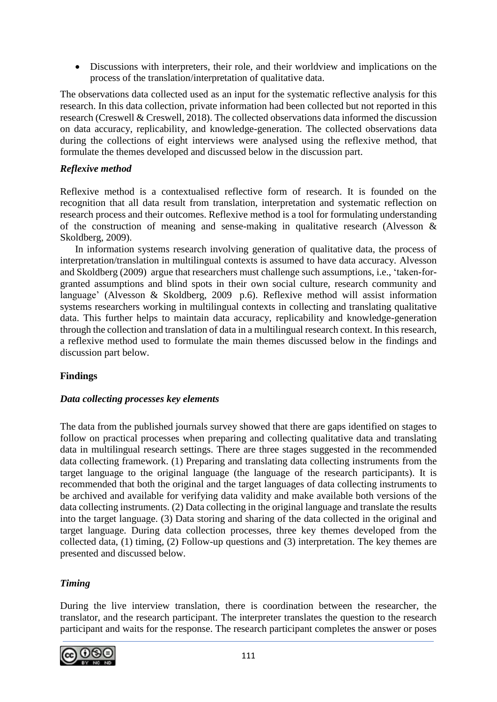Discussions with interpreters, their role, and their worldview and implications on the process of the translation/interpretation of qualitative data.

The observations data collected used as an input for the systematic reflective analysis for this research. In this data collection, private information had been collected but not reported in this research (Creswell & Creswell, 2018). The collected observations data informed the discussion on data accuracy, replicability, and knowledge-generation. The collected observations data during the collections of eight interviews were analysed using the reflexive method, that formulate the themes developed and discussed below in the discussion part.

### *Reflexive method*

Reflexive method is a contextualised reflective form of research. It is founded on the recognition that all data result from translation, interpretation and systematic reflection on research process and their outcomes. Reflexive method is a tool for formulating understanding of the construction of meaning and sense-making in qualitative research (Alvesson & Skoldberg, 2009).

In information systems research involving generation of qualitative data, the process of interpretation/translation in multilingual contexts is assumed to have data accuracy. Alvesson and Skoldberg (2009) argue that researchers must challenge such assumptions, i.e., 'taken-forgranted assumptions and blind spots in their own social culture, research community and language' (Alvesson & Skoldberg, 2009 p.6). Reflexive method will assist information systems researchers working in multilingual contexts in collecting and translating qualitative data. This further helps to maintain data accuracy, replicability and knowledge-generation through the collection and translation of data in a multilingual research context. In this research, a reflexive method used to formulate the main themes discussed below in the findings and discussion part below.

### **Findings**

### *Data collecting processes key elements*

The data from the published journals survey showed that there are gaps identified on stages to follow on practical processes when preparing and collecting qualitative data and translating data in multilingual research settings. There are three stages suggested in the recommended data collecting framework. (1) Preparing and translating data collecting instruments from the target language to the original language (the language of the research participants). It is recommended that both the original and the target languages of data collecting instruments to be archived and available for verifying data validity and make available both versions of the data collecting instruments. (2) Data collecting in the original language and translate the results into the target language. (3) Data storing and sharing of the data collected in the original and target language. During data collection processes, three key themes developed from the collected data, (1) timing, (2) Follow-up questions and (3) interpretation. The key themes are presented and discussed below.

## *Timing*

During the live interview translation, there is coordination between the researcher, the translator, and the research participant. The interpreter translates the question to the research participant and waits for the response. The research participant completes the answer or poses

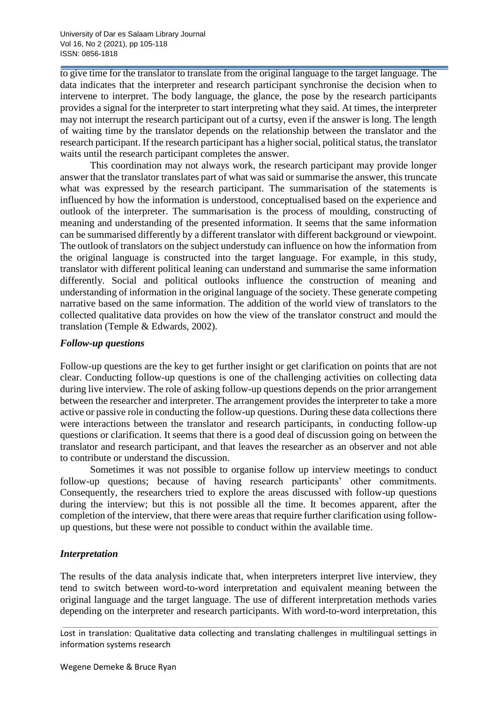to give time for the translator to translate from the original language to the target language. The data indicates that the interpreter and research participant synchronise the decision when to intervene to interpret. The body language, the glance, the pose by the research participants provides a signal for the interpreter to start interpreting what they said. At times, the interpreter may not interrupt the research participant out of a curtsy, even if the answer is long. The length of waiting time by the translator depends on the relationship between the translator and the research participant. If the research participant has a higher social, political status, the translator waits until the research participant completes the answer.

This coordination may not always work, the research participant may provide longer answer that the translator translates part of what was said or summarise the answer, this truncate what was expressed by the research participant. The summarisation of the statements is influenced by how the information is understood, conceptualised based on the experience and outlook of the interpreter. The summarisation is the process of moulding, constructing of meaning and understanding of the presented information. It seems that the same information can be summarised differently by a different translator with different background or viewpoint. The outlook of translators on the subject understudy can influence on how the information from the original language is constructed into the target language. For example, in this study, translator with different political leaning can understand and summarise the same information differently. Social and political outlooks influence the construction of meaning and understanding of information in the original language of the society. These generate competing narrative based on the same information. The addition of the world view of translators to the collected qualitative data provides on how the view of the translator construct and mould the translation (Temple & Edwards, 2002).

#### *Follow-up questions*

Follow-up questions are the key to get further insight or get clarification on points that are not clear. Conducting follow-up questions is one of the challenging activities on collecting data during live interview. The role of asking follow-up questions depends on the prior arrangement between the researcher and interpreter. The arrangement provides the interpreter to take a more active or passive role in conducting the follow-up questions. During these data collections there were interactions between the translator and research participants, in conducting follow-up questions or clarification. It seems that there is a good deal of discussion going on between the translator and research participant, and that leaves the researcher as an observer and not able to contribute or understand the discussion.

Sometimes it was not possible to organise follow up interview meetings to conduct follow-up questions; because of having research participants' other commitments. Consequently, the researchers tried to explore the areas discussed with follow-up questions during the interview; but this is not possible all the time. It becomes apparent, after the completion of the interview, that there were areas that require further clarification using followup questions, but these were not possible to conduct within the available time.

### *Interpretation*

The results of the data analysis indicate that, when interpreters interpret live interview, they tend to switch between word-to-word interpretation and equivalent meaning between the original language and the target language. The use of different interpretation methods varies depending on the interpreter and research participants. With word-to-word interpretation, this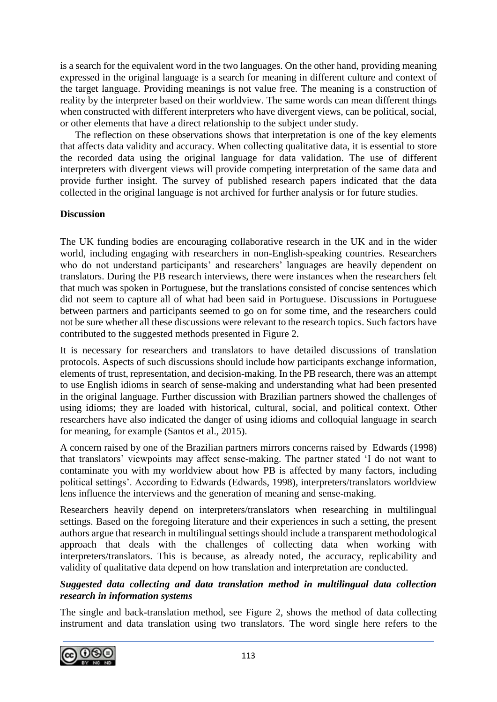is a search for the equivalent word in the two languages. On the other hand, providing meaning expressed in the original language is a search for meaning in different culture and context of the target language. Providing meanings is not value free. The meaning is a construction of reality by the interpreter based on their worldview. The same words can mean different things when constructed with different interpreters who have divergent views, can be political, social, or other elements that have a direct relationship to the subject under study.

The reflection on these observations shows that interpretation is one of the key elements that affects data validity and accuracy. When collecting qualitative data, it is essential to store the recorded data using the original language for data validation. The use of different interpreters with divergent views will provide competing interpretation of the same data and provide further insight. The survey of published research papers indicated that the data collected in the original language is not archived for further analysis or for future studies.

### **Discussion**

The UK funding bodies are encouraging collaborative research in the UK and in the wider world, including engaging with researchers in non-English-speaking countries. Researchers who do not understand participants' and researchers' languages are heavily dependent on translators. During the PB research interviews, there were instances when the researchers felt that much was spoken in Portuguese, but the translations consisted of concise sentences which did not seem to capture all of what had been said in Portuguese. Discussions in Portuguese between partners and participants seemed to go on for some time, and the researchers could not be sure whether all these discussions were relevant to the research topics. Such factors have contributed to the suggested methods presented in Figure 2.

It is necessary for researchers and translators to have detailed discussions of translation protocols. Aspects of such discussions should include how participants exchange information, elements of trust, representation, and decision-making. In the PB research, there was an attempt to use English idioms in search of sense-making and understanding what had been presented in the original language. Further discussion with Brazilian partners showed the challenges of using idioms; they are loaded with historical, cultural, social, and political context. Other researchers have also indicated the danger of using idioms and colloquial language in search for meaning, for example (Santos et al., 2015).

A concern raised by one of the Brazilian partners mirrors concerns raised by Edwards (1998) that translators' viewpoints may affect sense-making. The partner stated 'I do not want to contaminate you with my worldview about how PB is affected by many factors, including political settings'. According to Edwards (Edwards, 1998), interpreters/translators worldview lens influence the interviews and the generation of meaning and sense-making.

Researchers heavily depend on interpreters/translators when researching in multilingual settings. Based on the foregoing literature and their experiences in such a setting, the present authors argue that research in multilingual settings should include a transparent methodological approach that deals with the challenges of collecting data when working with interpreters/translators. This is because, as already noted, the accuracy, replicability and validity of qualitative data depend on how translation and interpretation are conducted.

### *Suggested data collecting and data translation method in multilingual data collection research in information systems*

The single and back-translation method, see Figure 2, shows the method of data collecting instrument and data translation using two translators. The word single here refers to the

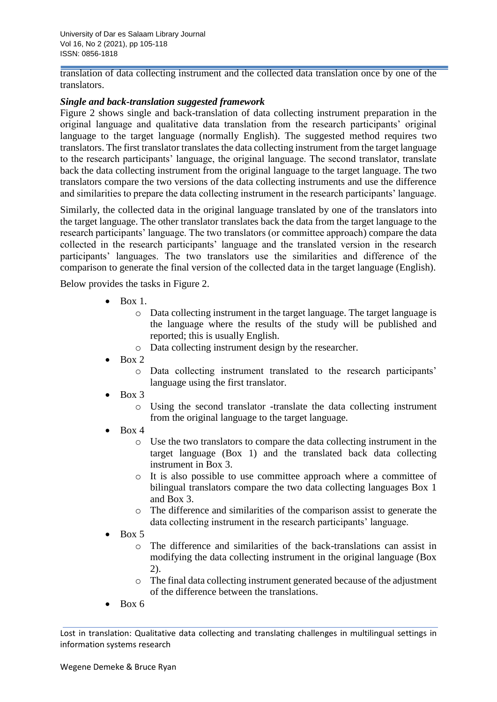University of Dar es Salaam Library Journal Vol 16, No 2 (2021), pp 105-118 ISSN: 0856-1818

translation of data collecting instrument and the collected data translation once by one of the translators.

#### *Single and back-translation suggested framework*

Figure 2 shows single and back-translation of data collecting instrument preparation in the original language and qualitative data translation from the research participants' original language to the target language (normally English). The suggested method requires two translators. The first translator translates the data collecting instrument from the target language to the research participants' language, the original language. The second translator, translate back the data collecting instrument from the original language to the target language. The two translators compare the two versions of the data collecting instruments and use the difference and similarities to prepare the data collecting instrument in the research participants' language.

Similarly, the collected data in the original language translated by one of the translators into the target language. The other translator translates back the data from the target language to the research participants' language. The two translators (or committee approach) compare the data collected in the research participants' language and the translated version in the research participants' languages. The two translators use the similarities and difference of the comparison to generate the final version of the collected data in the target language (English).

Below provides the tasks in Figure 2.

- $\bullet$  Box 1.
	- o Data collecting instrument in the target language. The target language is the language where the results of the study will be published and reported; this is usually English.
	- o Data collecting instrument design by the researcher.
- Box 2
	- o Data collecting instrument translated to the research participants' language using the first translator.
- Box 3
	- o Using the second translator -translate the data collecting instrument from the original language to the target language.
- $\bullet$  Box 4
	- o Use the two translators to compare the data collecting instrument in the target language (Box 1) and the translated back data collecting instrument in Box 3.
	- o It is also possible to use committee approach where a committee of bilingual translators compare the two data collecting languages Box 1 and Box 3.
	- o The difference and similarities of the comparison assist to generate the data collecting instrument in the research participants' language.
- Box 5
	- o The difference and similarities of the back-translations can assist in modifying the data collecting instrument in the original language (Box 2).
	- o The final data collecting instrument generated because of the adjustment of the difference between the translations.
- Box 6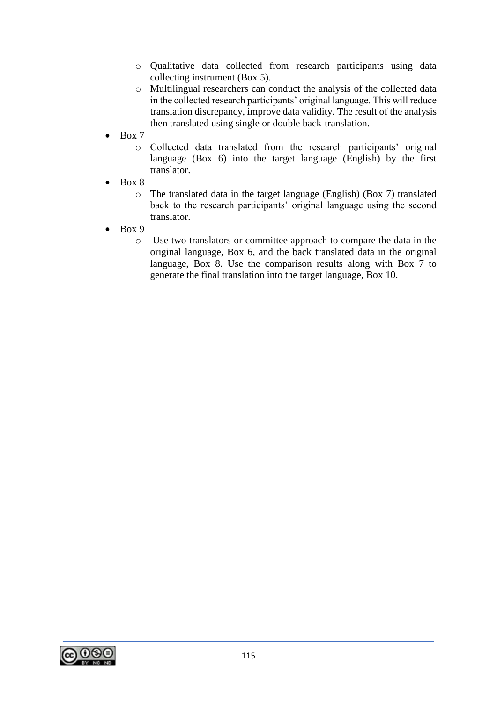- o Qualitative data collected from research participants using data collecting instrument (Box 5).
- o Multilingual researchers can conduct the analysis of the collected data in the collected research participants' original language. This will reduce translation discrepancy, improve data validity. The result of the analysis then translated using single or double back-translation.
- Box 7
	- o Collected data translated from the research participants' original language (Box 6) into the target language (English) by the first translator.
- Box 8
	- o The translated data in the target language (English) (Box 7) translated back to the research participants' original language using the second translator.
- Box 9
	- o Use two translators or committee approach to compare the data in the original language, Box 6, and the back translated data in the original language, Box 8. Use the comparison results along with Box 7 to generate the final translation into the target language, Box 10.

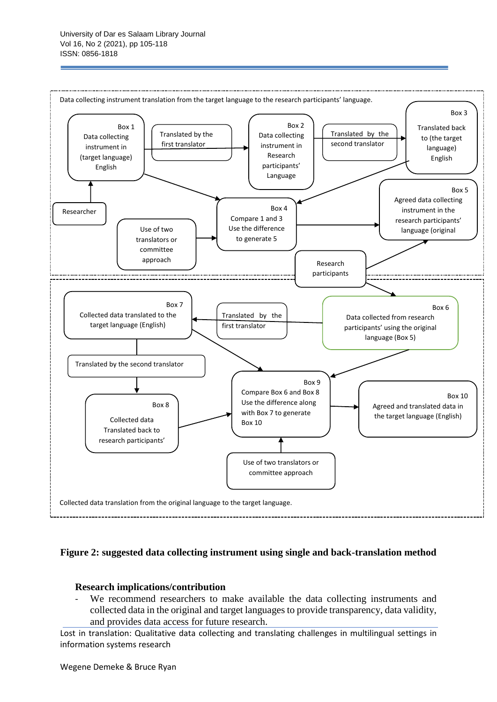

#### **Figure 2: suggested data collecting instrument using single and back-translation method**

#### **Research implications/contribution**

We recommend researchers to make available the data collecting instruments and collected data in the original and target languages to provide transparency, data validity, and provides data access for future research.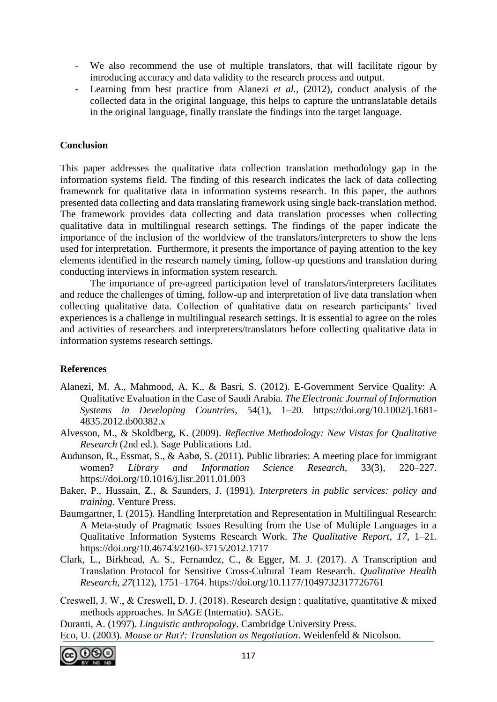- We also recommend the use of multiple translators, that will facilitate rigour by introducing accuracy and data validity to the research process and output.
- Learning from best practice from Alanezi *et al.,* (2012), conduct analysis of the collected data in the original language, this helps to capture the untranslatable details in the original language, finally translate the findings into the target language.

### **Conclusion**

This paper addresses the qualitative data collection translation methodology gap in the information systems field. The finding of this research indicates the lack of data collecting framework for qualitative data in information systems research. In this paper, the authors presented data collecting and data translating framework using single back-translation method. The framework provides data collecting and data translation processes when collecting qualitative data in multilingual research settings. The findings of the paper indicate the importance of the inclusion of the worldview of the translators/interpreters to show the lens used for interpretation. Furthermore, it presents the importance of paying attention to the key elements identified in the research namely timing, follow-up questions and translation during conducting interviews in information system research.

The importance of pre-agreed participation level of translators/interpreters facilitates and reduce the challenges of timing, follow-up and interpretation of live data translation when collecting qualitative data. Collection of qualitative data on research participants' lived experiences is a challenge in multilingual research settings. It is essential to agree on the roles and activities of researchers and interpreters/translators before collecting qualitative data in information systems research settings.

### **References**

- Alanezi, M. A., Mahmood, A. K., & Basri, S. (2012). E-Government Service Quality: A Qualitative Evaluation in the Case of Saudi Arabia. *The Electronic Journal of Information Systems in Developing Countries*, 54(1), 1–20. https://doi.org/10.1002/j.1681- 4835.2012.tb00382.x
- Alvesson, M., & Skoldberg, K. (2009). *Reflective Methodology: New Vistas for Qualitative Research* (2nd ed.). Sage Publications Ltd.
- Audunson, R., Essmat, S., & Aabø, S. (2011). Public libraries: A meeting place for immigrant women? *Library and Information Science Research*, 33(3), 220–227. https://doi.org/10.1016/j.lisr.2011.01.003
- Baker, P., Hussain, Z., & Saunders, J. (1991). *Interpreters in public services: policy and training*. Venture Press.
- Baumgartner, I. (2015). Handling Interpretation and Representation in Multilingual Research: A Meta-study of Pragmatic Issues Resulting from the Use of Multiple Languages in a Qualitative Information Systems Research Work. *The Qualitative Report*, *17*, 1–21. https://doi.org/10.46743/2160-3715/2012.1717
- Clark, L., Birkhead, A. S., Fernandez, C., & Egger, M. J. (2017). A Transcription and Translation Protocol for Sensitive Cross-Cultural Team Research. *Qualitative Health Research*, *27*(112), 1751–1764. https://doi.org/10.1177/1049732317726761
- Creswell, J. W., & Creswell, D. J. (2018). Research design : qualitative, quantitative & mixed methods approaches. In *SAGE* (Internatio). SAGE.
- Duranti, A. (1997). *Linguistic anthropology*. Cambridge University Press. Eco, U. (2003). *Mouse or Rat?: Translation as Negotiation*. Weidenfeld & Nicolson.